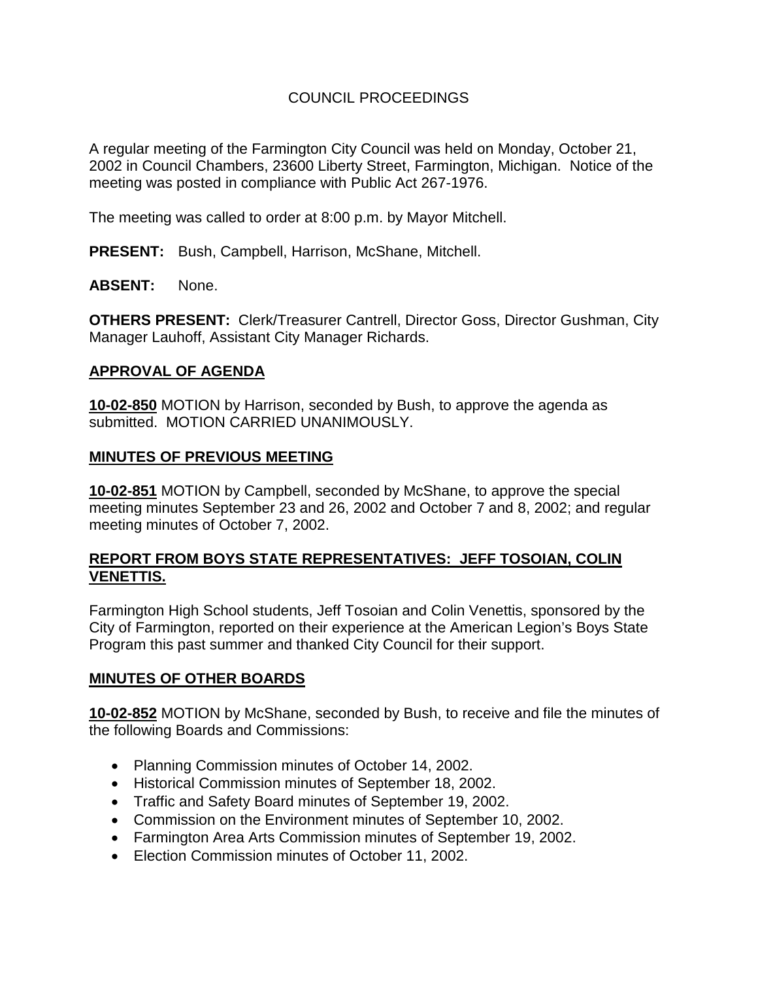# COUNCIL PROCEEDINGS

A regular meeting of the Farmington City Council was held on Monday, October 21, 2002 in Council Chambers, 23600 Liberty Street, Farmington, Michigan. Notice of the meeting was posted in compliance with Public Act 267-1976.

The meeting was called to order at 8:00 p.m. by Mayor Mitchell.

**PRESENT:** Bush, Campbell, Harrison, McShane, Mitchell.

**ABSENT:** None.

**OTHERS PRESENT:** Clerk/Treasurer Cantrell, Director Goss, Director Gushman, City Manager Lauhoff, Assistant City Manager Richards.

#### **APPROVAL OF AGENDA**

**10-02-850** MOTION by Harrison, seconded by Bush, to approve the agenda as submitted. MOTION CARRIED UNANIMOUSLY.

## **MINUTES OF PREVIOUS MEETING**

**10-02-851** MOTION by Campbell, seconded by McShane, to approve the special meeting minutes September 23 and 26, 2002 and October 7 and 8, 2002; and regular meeting minutes of October 7, 2002.

## **REPORT FROM BOYS STATE REPRESENTATIVES: JEFF TOSOIAN, COLIN VENETTIS.**

Farmington High School students, Jeff Tosoian and Colin Venettis, sponsored by the City of Farmington, reported on their experience at the American Legion's Boys State Program this past summer and thanked City Council for their support.

## **MINUTES OF OTHER BOARDS**

**10-02-852** MOTION by McShane, seconded by Bush, to receive and file the minutes of the following Boards and Commissions:

- Planning Commission minutes of October 14, 2002.
- Historical Commission minutes of September 18, 2002.
- Traffic and Safety Board minutes of September 19, 2002.
- Commission on the Environment minutes of September 10, 2002.
- Farmington Area Arts Commission minutes of September 19, 2002.
- Election Commission minutes of October 11, 2002.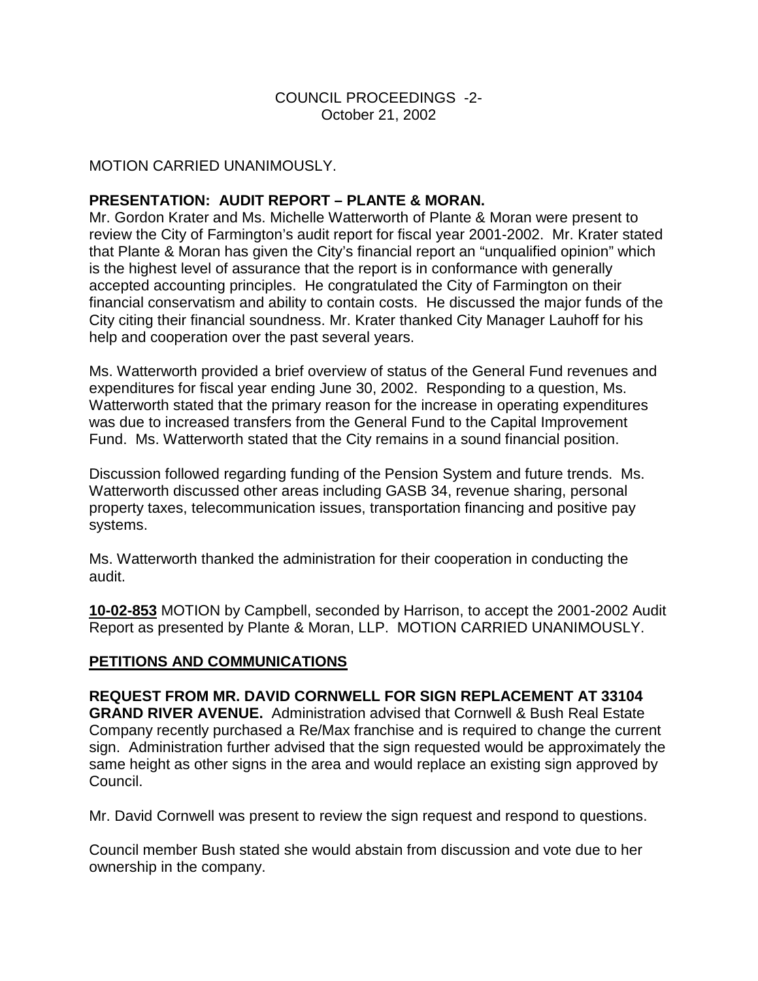## COUNCIL PROCEEDINGS -2- October 21, 2002

MOTION CARRIED UNANIMOUSLY.

## **PRESENTATION: AUDIT REPORT – PLANTE & MORAN.**

Mr. Gordon Krater and Ms. Michelle Watterworth of Plante & Moran were present to review the City of Farmington's audit report for fiscal year 2001-2002. Mr. Krater stated that Plante & Moran has given the City's financial report an "unqualified opinion" which is the highest level of assurance that the report is in conformance with generally accepted accounting principles. He congratulated the City of Farmington on their financial conservatism and ability to contain costs. He discussed the major funds of the City citing their financial soundness. Mr. Krater thanked City Manager Lauhoff for his help and cooperation over the past several years.

Ms. Watterworth provided a brief overview of status of the General Fund revenues and expenditures for fiscal year ending June 30, 2002. Responding to a question, Ms. Watterworth stated that the primary reason for the increase in operating expenditures was due to increased transfers from the General Fund to the Capital Improvement Fund. Ms. Watterworth stated that the City remains in a sound financial position.

Discussion followed regarding funding of the Pension System and future trends. Ms. Watterworth discussed other areas including GASB 34, revenue sharing, personal property taxes, telecommunication issues, transportation financing and positive pay systems.

Ms. Watterworth thanked the administration for their cooperation in conducting the audit.

**10-02-853** MOTION by Campbell, seconded by Harrison, to accept the 2001-2002 Audit Report as presented by Plante & Moran, LLP. MOTION CARRIED UNANIMOUSLY.

## **PETITIONS AND COMMUNICATIONS**

**REQUEST FROM MR. DAVID CORNWELL FOR SIGN REPLACEMENT AT 33104 GRAND RIVER AVENUE.** Administration advised that Cornwell & Bush Real Estate Company recently purchased a Re/Max franchise and is required to change the current sign. Administration further advised that the sign requested would be approximately the same height as other signs in the area and would replace an existing sign approved by Council.

Mr. David Cornwell was present to review the sign request and respond to questions.

Council member Bush stated she would abstain from discussion and vote due to her ownership in the company.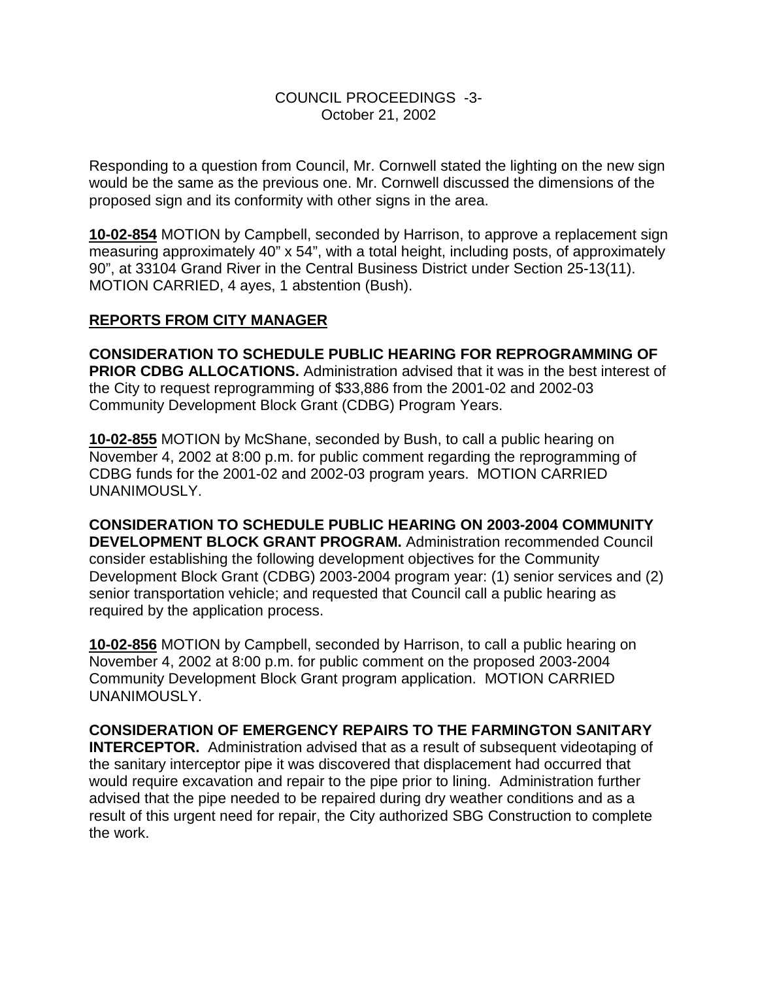#### COUNCIL PROCEEDINGS -3- October 21, 2002

Responding to a question from Council, Mr. Cornwell stated the lighting on the new sign would be the same as the previous one. Mr. Cornwell discussed the dimensions of the proposed sign and its conformity with other signs in the area.

**10-02-854** MOTION by Campbell, seconded by Harrison, to approve a replacement sign measuring approximately 40" x 54", with a total height, including posts, of approximately 90", at 33104 Grand River in the Central Business District under Section 25-13(11). MOTION CARRIED, 4 ayes, 1 abstention (Bush).

## **REPORTS FROM CITY MANAGER**

**CONSIDERATION TO SCHEDULE PUBLIC HEARING FOR REPROGRAMMING OF PRIOR CDBG ALLOCATIONS.** Administration advised that it was in the best interest of the City to request reprogramming of \$33,886 from the 2001-02 and 2002-03 Community Development Block Grant (CDBG) Program Years.

**10-02-855** MOTION by McShane, seconded by Bush, to call a public hearing on November 4, 2002 at 8:00 p.m. for public comment regarding the reprogramming of CDBG funds for the 2001-02 and 2002-03 program years. MOTION CARRIED UNANIMOUSLY.

**CONSIDERATION TO SCHEDULE PUBLIC HEARING ON 2003-2004 COMMUNITY DEVELOPMENT BLOCK GRANT PROGRAM.** Administration recommended Council consider establishing the following development objectives for the Community Development Block Grant (CDBG) 2003-2004 program year: (1) senior services and (2) senior transportation vehicle; and requested that Council call a public hearing as required by the application process.

**10-02-856** MOTION by Campbell, seconded by Harrison, to call a public hearing on November 4, 2002 at 8:00 p.m. for public comment on the proposed 2003-2004 Community Development Block Grant program application. MOTION CARRIED UNANIMOUSLY.

**CONSIDERATION OF EMERGENCY REPAIRS TO THE FARMINGTON SANITARY INTERCEPTOR.** Administration advised that as a result of subsequent videotaping of the sanitary interceptor pipe it was discovered that displacement had occurred that would require excavation and repair to the pipe prior to lining. Administration further advised that the pipe needed to be repaired during dry weather conditions and as a result of this urgent need for repair, the City authorized SBG Construction to complete the work.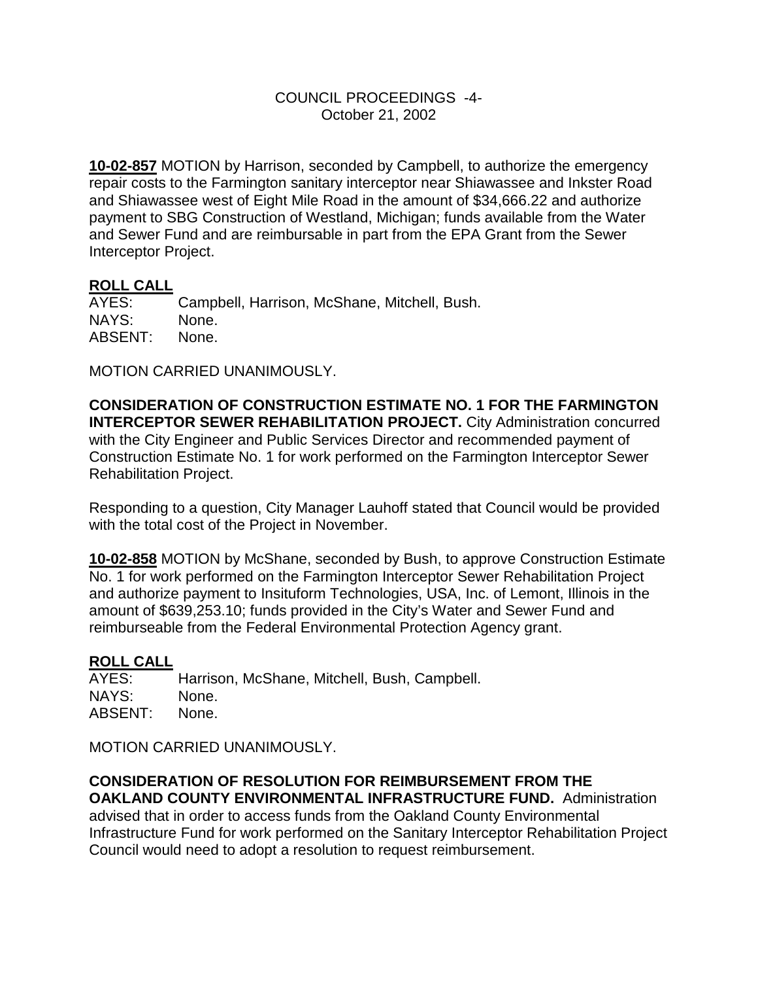#### COUNCIL PROCEEDINGS -4- October 21, 2002

**10-02-857** MOTION by Harrison, seconded by Campbell, to authorize the emergency repair costs to the Farmington sanitary interceptor near Shiawassee and Inkster Road and Shiawassee west of Eight Mile Road in the amount of \$34,666.22 and authorize payment to SBG Construction of Westland, Michigan; funds available from the Water and Sewer Fund and are reimbursable in part from the EPA Grant from the Sewer Interceptor Project.

## **ROLL CALL**

AYES: Campbell, Harrison, McShane, Mitchell, Bush. NAYS: None. ABSENT: None.

MOTION CARRIED UNANIMOUSLY.

**CONSIDERATION OF CONSTRUCTION ESTIMATE NO. 1 FOR THE FARMINGTON INTERCEPTOR SEWER REHABILITATION PROJECT.** City Administration concurred with the City Engineer and Public Services Director and recommended payment of Construction Estimate No. 1 for work performed on the Farmington Interceptor Sewer Rehabilitation Project.

Responding to a question, City Manager Lauhoff stated that Council would be provided with the total cost of the Project in November.

**10-02-858** MOTION by McShane, seconded by Bush, to approve Construction Estimate No. 1 for work performed on the Farmington Interceptor Sewer Rehabilitation Project and authorize payment to Insituform Technologies, USA, Inc. of Lemont, Illinois in the amount of \$639,253.10; funds provided in the City's Water and Sewer Fund and reimburseable from the Federal Environmental Protection Agency grant.

# **ROLL CALL**<br>AYES:

Harrison, McShane, Mitchell, Bush, Campbell. NAYS: None. ABSENT: None.

MOTION CARRIED UNANIMOUSLY.

**CONSIDERATION OF RESOLUTION FOR REIMBURSEMENT FROM THE OAKLAND COUNTY ENVIRONMENTAL INFRASTRUCTURE FUND.** Administration advised that in order to access funds from the Oakland County Environmental Infrastructure Fund for work performed on the Sanitary Interceptor Rehabilitation Project Council would need to adopt a resolution to request reimbursement.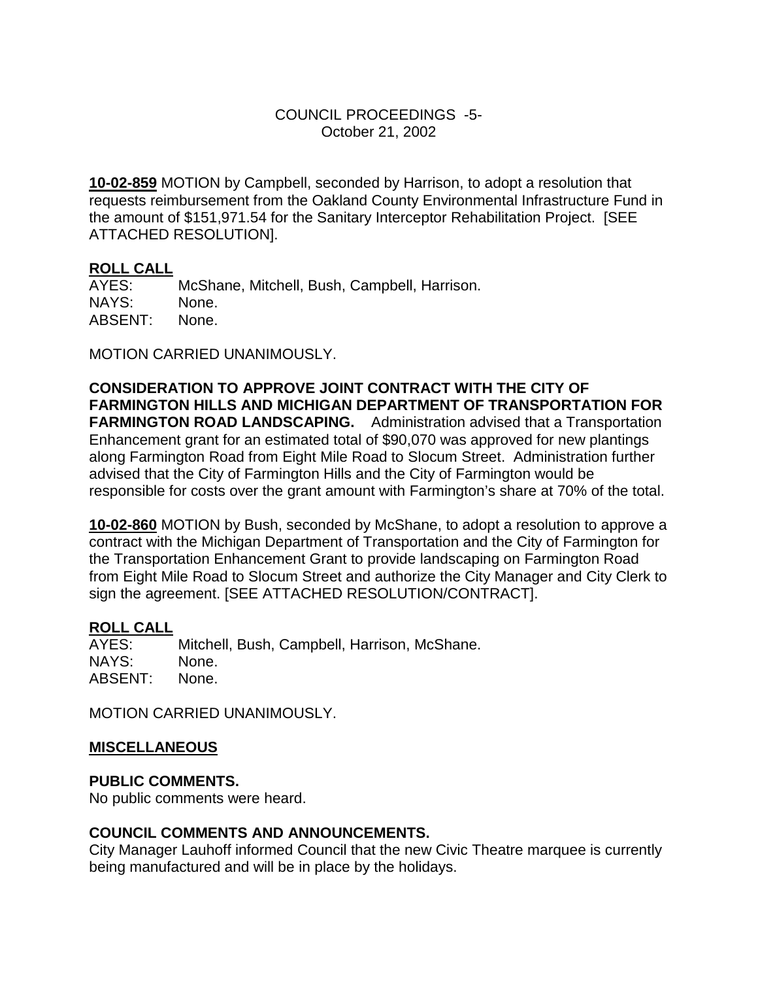**10-02-859** MOTION by Campbell, seconded by Harrison, to adopt a resolution that requests reimbursement from the Oakland County Environmental Infrastructure Fund in the amount of \$151,971.54 for the Sanitary Interceptor Rehabilitation Project. [SEE ATTACHED RESOLUTION].

# **ROLL CALL**

McShane, Mitchell, Bush, Campbell, Harrison. NAYS: None. ABSENT: None.

MOTION CARRIED UNANIMOUSLY.

**CONSIDERATION TO APPROVE JOINT CONTRACT WITH THE CITY OF FARMINGTON HILLS AND MICHIGAN DEPARTMENT OF TRANSPORTATION FOR FARMINGTON ROAD LANDSCAPING.** Administration advised that a Transportation Enhancement grant for an estimated total of \$90,070 was approved for new plantings along Farmington Road from Eight Mile Road to Slocum Street. Administration further advised that the City of Farmington Hills and the City of Farmington would be responsible for costs over the grant amount with Farmington's share at 70% of the total.

**10-02-860** MOTION by Bush, seconded by McShane, to adopt a resolution to approve a contract with the Michigan Department of Transportation and the City of Farmington for the Transportation Enhancement Grant to provide landscaping on Farmington Road from Eight Mile Road to Slocum Street and authorize the City Manager and City Clerk to sign the agreement. [SEE ATTACHED RESOLUTION/CONTRACT].

#### **ROLL CALL**

AYES: Mitchell, Bush, Campbell, Harrison, McShane. NAYS: None. ABSENT: None.

MOTION CARRIED UNANIMOUSLY.

#### **MISCELLANEOUS**

#### **PUBLIC COMMENTS.**

No public comments were heard.

## **COUNCIL COMMENTS AND ANNOUNCEMENTS.**

City Manager Lauhoff informed Council that the new Civic Theatre marquee is currently being manufactured and will be in place by the holidays.